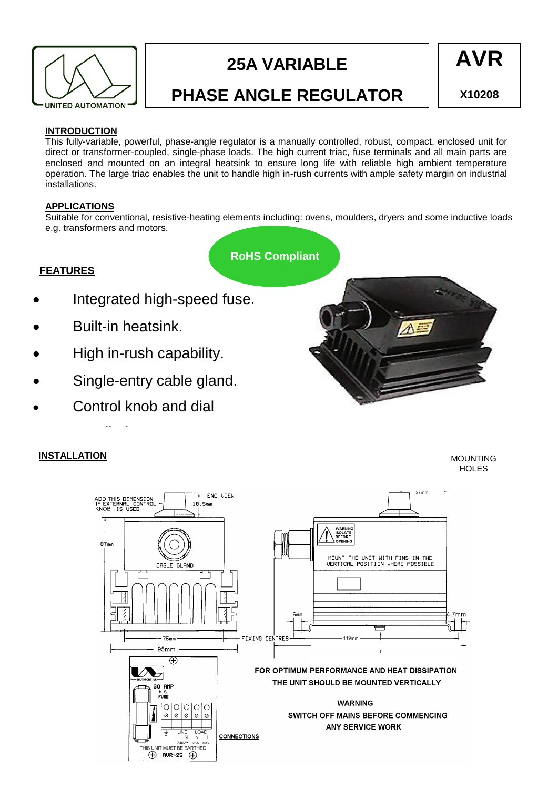

# **25A VARIABLE**



## **PHASE ANGLE REGULATOR**

**X10208**

#### **INTRODUCTION**

This fully-variable, powerful, phase-angle regulator is a manually controlled, robust, compact, enclosed unit for direct or transformer-coupled, single-phase loads. The high current triac, fuse terminals and all main parts are enclosed and mounted on an integral heatsink to ensure long life with reliable high ambient temperature operation. The large triac enables the unit to handle high in-rush currents with ample safety margin on industrial installations.

#### **APPLICATIONS**

Suitable for conventional, resistive-heating elements including: ovens, moulders, dryers and some inductive loads e.g. transformers and motors.

**RoHS Compliant**

#### **FEATURES**

- Integrated high-speed fuse.
- Built-in heatsink.

supplied.

- High in-rush capability.
- Single-entry cable gland.
- Control knob and dial

#### **INSTALLATION**

MOUNTING **HOLES**